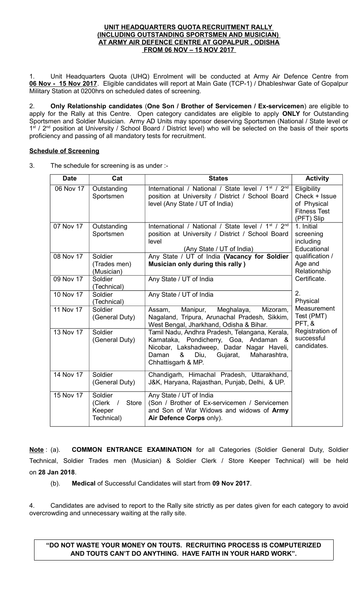#### **UNIT HEADQUARTERS QUOTA RECRUITMENT RALLY (INCLUDING OUTSTANDING SPORTSMEN AND MUSICIAN) AT ARMY AIR DEFENCE CENTRE AT GOPALPUR , ODISHA FROM 06 NOV – 15 NOV 2017**

1. Unit Headquarters Quota (UHQ) Enrolment will be conducted at Army Air Defence Centre from **06 Nov - 15 Nov 2017**. Eligible candidates will report at Main Gate (TCP-1) / Dhableshwar Gate of Gopalpur Military Station at 0200hrs on scheduled dates of screening.

2. **Only Relationship candidates** (**One Son / Brother of Servicemen / Ex-servicemen**) are eligible to apply for the Rally at this Centre. Open category candidates are eligible to apply **ONLY** for Outstanding Sportsmen and Soldier Musician. Army AD Units may sponsor deserving Sportsmen (National / State level or 1<sup>st</sup> / 2<sup>nd</sup> position at University / School Board / District level) who will be selected on the basis of their sports proficiency and passing of all mandatory tests for recruitment.

# **Schedule of Screening**

3. The schedule for screening is as under :-

| <b>Date</b> | Cat                                                                   | <b>States</b>                                                                                                                                                                                                         | <b>Activity</b>                                                                  |
|-------------|-----------------------------------------------------------------------|-----------------------------------------------------------------------------------------------------------------------------------------------------------------------------------------------------------------------|----------------------------------------------------------------------------------|
| 06 Nov 17   | Outstanding<br>Sportsmen                                              | International / National / State level / 1 <sup>st</sup> / 2 <sup>nd</sup><br>position at University / District / School Board<br>level (Any State / UT of India)                                                     | Eligibility<br>Check + Issue<br>of Physical<br><b>Fitness Test</b><br>(PFT) Slip |
| 07 Nov 17   | Outstanding<br>Sportsmen                                              | International / National / State level / 1 <sup>st</sup> / 2 <sup>nd</sup><br>position at University / District / School Board<br>level<br>(Any State / UT of India)                                                  | 1. Initial<br>screening<br>including<br>Educational                              |
| 08 Nov 17   | Soldier<br>(Trades men)<br>(Musician)                                 | Any State / UT of India (Vacancy for Soldier<br>Musician only during this rally)                                                                                                                                      | qualification /<br>Age and<br>Relationship                                       |
| 09 Nov 17   | Soldier<br>(Technical)                                                | Any State / UT of India                                                                                                                                                                                               | Certificate.                                                                     |
| 10 Nov 17   | Soldier<br>(Technical)                                                | Any State / UT of India                                                                                                                                                                                               | 2.<br>Physical                                                                   |
| 11 Nov 17   | Soldier<br>(General Duty)                                             | Manipur,<br>Meghalaya,<br>Assam,<br>Mizoram,<br>Nagaland, Tripura, Arunachal Pradesh, Sikkim,<br>West Bengal, Jharkhand, Odisha & Bihar.                                                                              | Measurement<br>Test (PMT)<br>PFT, &                                              |
| 13 Nov 17   | Soldier<br>(General Duty)                                             | Tamil Nadu, Andhra Pradesh, Telangana, Kerala,<br>Pondicherry, Goa, Andaman<br>Karnataka,<br>- &<br>Nicobar, Lakshadweep, Dadar Nagar Haveli,<br>Maharashtra,<br>Daman<br>&<br>Diu,<br>Gujarat,<br>Chhattisgarh & MP. | Registration of<br>successful<br>candidates.                                     |
| 14 Nov 17   | Soldier<br>(General Duty)                                             | Chandigarh, Himachal Pradesh, Uttarakhand,<br>J&K, Haryana, Rajasthan, Punjab, Delhi, & UP.                                                                                                                           |                                                                                  |
| 15 Nov 17   | Soldier<br><b>Store</b><br>(Clerk<br>$\prime$<br>Keeper<br>Technical) | Any State / UT of India<br>(Son / Brother of Ex-servicemen / Servicemen<br>and Son of War Widows and widows of Army<br>Air Defence Corps only).                                                                       |                                                                                  |

**Note** : (a). **COMMON ENTRANCE EXAMINATION** for all Categories (Soldier General Duty, Soldier Technical, Soldier Trades men (Musician) & Soldier Clerk / Store Keeper Technical) will be held on **28 Jan 2018**.

(b). **Medical** of Successful Candidates will start from **09 Nov 2017**.

4. Candidates are advised to report to the Rally site strictly as per dates given for each category to avoid overcrowding and unnecessary waiting at the rally site.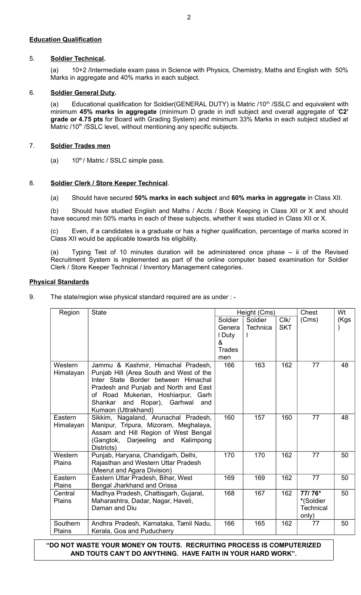# **Education Qualification**

# 5. **Soldier Technical.**

(a) 10+2 /Intermediate exam pass in Science with Physics, Chemistry, Maths and English with 50% Marks in aggregate and 40% marks in each subject.

## 6. **Soldier General Duty.**

(a) Educational qualification for Soldier(GENERAL DUTY) is Matric /10<sup>th</sup> /SSLC and equivalent with minimum **45% marks in aggregate** (minimum D grade in indl subject and overall aggregate of '**C2' grade or 4.75 pts** for Board with Grading System) and minimum 33% Marks in each subject studied at Matric /10<sup>th</sup> /SSLC level, without mentioning any specific subjects.

## 7. **Soldier Trades men**

(a)  $10^{th}$  / Matric / SSLC simple pass.

# 8. **Soldier Clerk / Store Keeper Technical**.

(a) Should have secured **50% marks in each subject** and **60% marks in aggregate** in Class XII.

(b) Should have studied English and Maths / Accts / Book Keeping in Class XII or X and should have secured min 50% marks in each of these subjects, whether it was studied in Class XII or X.

(c) Even, if a candidates is a graduate or has a higher qualification, percentage of marks scored in Class XII would be applicable towards his eligibility.

(a) Typing Test of 10 minutes duration will be administered once phase – ii of the Revised Recruitment System is implemented as part of the online computer based examination for Soldier Clerk / Store Keeper Technical / Inventory Management categories.

# **Physical Standards**

9. The state/region wise physical standard required are as under : -

| Region               | <b>State</b>                                                                                                                                                                                                                                                        | Height (Cms)  |                 |            | Chest                                            | Wt   |
|----------------------|---------------------------------------------------------------------------------------------------------------------------------------------------------------------------------------------------------------------------------------------------------------------|---------------|-----------------|------------|--------------------------------------------------|------|
|                      |                                                                                                                                                                                                                                                                     | Soldier       | Soldier         | ClK/       | (Cms)                                            | (Kgs |
|                      |                                                                                                                                                                                                                                                                     | Genera        | <b>Technica</b> | <b>SKT</b> |                                                  |      |
|                      |                                                                                                                                                                                                                                                                     | I Duty        |                 |            |                                                  |      |
|                      |                                                                                                                                                                                                                                                                     | &             |                 |            |                                                  |      |
|                      |                                                                                                                                                                                                                                                                     | <b>Trades</b> |                 |            |                                                  |      |
|                      |                                                                                                                                                                                                                                                                     | men           |                 |            |                                                  |      |
| Western<br>Himalayan | Jammu & Kashmir, Himachal Pradesh,<br>Punjab Hill (Area South and West of the<br>Inter State Border between Himachal<br>Pradesh and Punjab and North and East<br>of Road Mukerian, Hoshiarpur, Garh<br>Shankar<br>and Ropar), Garhwal<br>and<br>Kumaon (Uttrakhand) | 166           | 163             | 162        | 77                                               | 48   |
| Eastern<br>Himalayan | Sikkim, Nagaland, Arunachal Pradesh,<br>Manipur, Tripura, Mizoram, Meghalaya,<br>Assam and Hill Region of West Bengal<br>(Gangtok, Darjeeling and<br>Kalimpong<br>Districts)                                                                                        | 160           | 157             | 160        | 77                                               | 48   |
| Western<br>Plains    | Punjab, Haryana, Chandigarh, Delhi,<br>Rajasthan and Western Uttar Pradesh<br>(Meerut and Agara Division)                                                                                                                                                           | 170           | 170             | 162        | 77                                               | 50   |
| Eastern<br>Plains    | Eastern Uttar Pradesh, Bihar, West<br>Bengal Jharkhand and Orissa                                                                                                                                                                                                   | 169           | 169             | 162        | 77                                               | 50   |
| Central<br>Plains    | Madhya Pradesh, Chattisgarh, Gujarat,<br>Maharashtra, Dadar, Nagar, Haveli,<br>Daman and Diu                                                                                                                                                                        | 168           | 167             | 162        | 77/76*<br>*(Soldier<br><b>Technical</b><br>only) | 50   |
| Southern<br>Plains   | Andhra Pradesh, Karnataka, Tamil Nadu,<br>Kerala, Goa and Puducherry                                                                                                                                                                                                | 166           | 165             | 162        | 77                                               | 50   |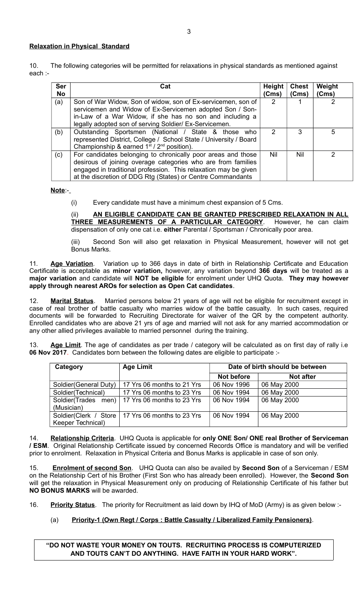### **Relaxation in Physical Standard**

10. The following categories will be permitted for relaxations in physical standards as mentioned against each :-

| <b>Ser</b><br><b>No</b> | Cat                                                                                                                                                                                                                                                            | Height<br>(Cms) | <b>Chest</b><br>(Cms) | Weight<br>(Cms) |
|-------------------------|----------------------------------------------------------------------------------------------------------------------------------------------------------------------------------------------------------------------------------------------------------------|-----------------|-----------------------|-----------------|
| (a)                     | Son of War Widow, Son of widow, son of Ex-servicemen, son of<br>servicemen and Widow of Ex-Servicemen adopted Son / Son-<br>in-Law of a War Widow, if she has no son and including a<br>legally adopted son of serving Soldier/ Ex-Servicemen.                 | 2               |                       | 2               |
| (b)                     | Outstanding Sportsmen (National / State & those who<br>represented District, College / School State / University / Board<br>Championship & earned $1st / 2nd$ position).                                                                                       | $\mathcal{P}$   | 3                     | 5               |
| (c)                     | For candidates belonging to chronically poor areas and those<br>desirous of joining overage categories who are from families<br>engaged in traditional profession. This relaxation may be given<br>at the discretion of DDG Rtg (States) or Centre Commandants | Nil             | Nil                   | 2               |

**Note**:-

(i) Every candidate must have a minimum chest expansion of 5 Cms.

(ii) **AN ELIGIBLE CANDIDATE CAN BE GRANTED PRESCRIBED RELAXATION IN ALL THREE MEASUREMENTS OF A PARTICULAR CATEGORY**. However, he can claim dispensation of only one cat i.e. **either** Parental / Sportsman / Chronically poor area.

(iii) Second Son will also get relaxation in Physical Measurement, however will not get Bonus Marks.

11. **Age Variation**. Variation up to 366 days in date of birth in Relationship Certificate and Education Certificate is acceptable as **minor variation,** however, any variation beyond **366 days** will be treated as a **major variation** and candidate will **NOT be eligible** for enrolment under UHQ Quota. **They may however apply through nearest AROs for selection as Open Cat candidates**.

12. **Marital Status**. Married persons below 21 years of age will not be eligible for recruitment except in case of real brother of battle casualty who marries widow of the battle casualty. In such cases, required documents will be forwarded to Recruiting Directorate for waiver of the QR by the competent authority. Enrolled candidates who are above 21 yrs of age and married will not ask for any married accommodation or any other allied privileges available to married personnel during the training.

13. **Age Limit**. The age of candidates as per trade / category will be calculated as on first day of rally i.e **06 Nov 2017**. Candidates born between the following dates are eligible to participate :-

| Category               | <b>Age Limit</b>                                   | Date of birth should be between |                  |  |
|------------------------|----------------------------------------------------|---------------------------------|------------------|--|
|                        |                                                    | Not before                      | <b>Not after</b> |  |
| Soldier (General Duty) | 17 Yrs 06 months to 21 Yrs                         | 06 Nov 1996                     | 06 May 2000      |  |
| Soldier(Technical)     | 17 Yrs 06 months to 23 Yrs                         | 06 Nov 1994                     | 06 May 2000      |  |
|                        | Soldier(Trades men)   17 Yrs 06 months to 23 Yrs   | 06 Nov 1994                     | 06 May 2000      |  |
| (Musician)             |                                                    |                                 |                  |  |
|                        | Soldier(Clerk / Store   17 Yrs 06 months to 23 Yrs | 06 Nov 1994                     | 06 May 2000      |  |
| Keeper Technical)      |                                                    |                                 |                  |  |

14. **Relationship Criteria**. UHQ Quota is applicable for **only ONE Son/ ONE real Brother of Serviceman / ESM**. Original Relationship Certificate issued by concerned Records Office is mandatory and will be verified prior to enrolment. Relaxation in Physical Criteria and Bonus Marks is applicable in case of son only.

15. **Enrolment of second Son**. UHQ Quota can also be availed by **Second Son** of a Serviceman / ESM on the Relationship Cert of his Brother (First Son who has already been enrolled). However, the **Second Son** will get the relaxation in Physical Measurement only on producing of Relationship Certificate of his father but **NO BONUS MARKS** will be awarded.

16. **Priority Status**. The priority for Recruitment as laid down by IHQ of MoD (Army) is as given below :-

# (a) **Priority-1 (Own Regt / Corps : Battle Casualty / Liberalized Family Pensioners)**.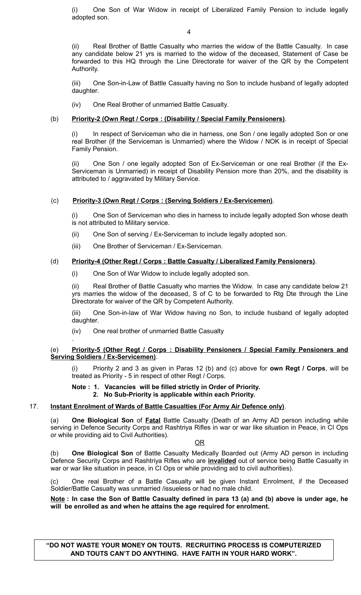(i) One Son of War Widow in receipt of Liberalized Family Pension to include legally adopted son.

4

(ii) Real Brother of Battle Casualty who marries the widow of the Battle Casualty. In case any candidate below 21 yrs is married to the widow of the deceased, Statement of Case be forwarded to this HQ through the Line Directorate for waiver of the QR by the Competent Authority.

(iii) One Son-in-Law of Battle Casualty having no Son to include husband of legally adopted daughter.

(iv) One Real Brother of unmarried Battle Casualty.

# (b) **Priority-2 (Own Regt / Corps : (Disability / Special Family Pensioners)**.

(i) In respect of Serviceman who die in harness, one Son / one legally adopted Son or one real Brother (if the Serviceman is Unmarried) where the Widow / NOK is in receipt of Special Family Pension.

(ii) One Son / one legally adopted Son of Ex-Serviceman or one real Brother (if the Ex-Serviceman is Unmarried) in receipt of Disability Pension more than 20%, and the disability is attributed to / aggravated by Military Service.

## (c) **Priority-3 (Own Regt / Corps : (Serving Soldiers / Ex-Servicemen)**.

(i) One Son of Serviceman who dies in harness to include legally adopted Son whose death is not attributed to Military service.

- (ii) One Son of serving / Ex-Serviceman to include legally adopted son.
- (iii) One Brother of Serviceman / Ex-Serviceman.

## (d) **Priority-4 (Other Regt / Corps : Battle Casualty / Liberalized Family Pensioners)**.

(i) One Son of War Widow to include legally adopted son.

(ii) Real Brother of Battle Casualty who marries the Widow. In case any candidate below 21 yrs marries the widow of the deceased, S of C to be forwarded to Rtg Dte through the Line Directorate for waiver of the QR by Competent Authority.

(iii) One Son-in-law of War Widow having no Son, to include husband of legally adopted daughter.

(iv) One real brother of unmarried Battle Casualty

.

### (e) **Priority-5 (Other Regt / Corps : Disability Pensioners / Special Family Pensioners and Serving Soldiers / Ex-Servicemen)**.

(i) Priority 2 and 3 as given in Paras 12 (b) and (c) above for **own Regt / Corps**, will be treated as Priority - 5 in respect of other Regt / Corps.

# **Note : 1. Vacancies will be filled strictly in Order of Priority.**

**2. No Sub-Priority is applicable within each Priority.**

## 17. **Instant Enrolment of Wards of Battle Casualties (For Army Air Defence only)**.

(a) **One Biological Son** of **Fatal** Battle Casualty (Death of an Army AD person including while serving in Defence Security Corps and Rashtriya Rifles in war or war like situation in Peace, in CI Ops or while providing aid to Civil Authorities).

OR

(b) **One Biological Son** of Battle Casualty Medically Boarded out (Army AD person in including Defence Security Corps and Rashtriya Rifles who are **invalided** out of service being Battle Casualty in war or war like situation in peace, in CI Ops or while providing aid to civil authorities).

(c) One real Brother of a Battle Casualty will be given Instant Enrolment, if the Deceased Soldier/Battle Casualty was unmarried /issueless or had no male child.

**Note : In case the Son of Battle Casualty defined in para 13 (a) and (b) above is under age, he will be enrolled as and when he attains the age required for enrolment.**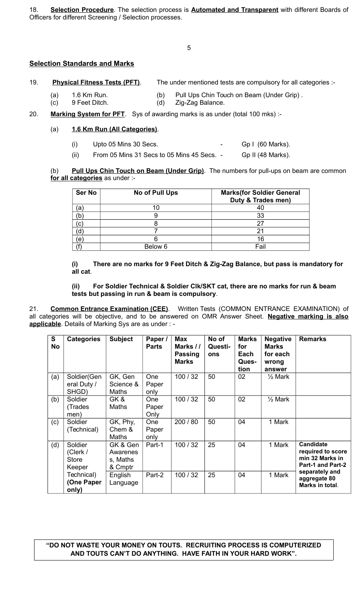18. **Selection Procedure**. The selection process is **Automated and Transparent** with different Boards of Officers for different Screening / Selection processes.

5

# **Selection Standards and Marks**

| 19. | <b>Physical Fitness Tests (PFT).</b> | The under mentioned tests are compulsory for all categories :- |
|-----|--------------------------------------|----------------------------------------------------------------|
|-----|--------------------------------------|----------------------------------------------------------------|

- (a) 1.6 Km Run. (b) Pull Ups Chin Touch on Beam (Under Grip) .
- (c) 9 Feet Ditch. (d) Zig-Zag Balance.

# 20. **Marking System for PFT**. Sys of awarding marks is as under (total 100 mks) :-

## (a) **1.6 Km Run (All Categories)**.

- $(i)$  Upto 05 Mins 30 Secs.  $\qquad \qquad -$  Gp I (60 Marks).
- $(ii)$  From 05 Mins 31 Secs to 05 Mins 45 Secs.  $-$  Gp II (48 Marks).

#### (b) **Pull Ups Chin Touch on Beam (Under Grip)**. The numbers for pull-ups on beam are common **for all categories** as under :-

| Ser No | No of Pull Ups | <b>Marks(for Soldier General</b><br>Duty & Trades men) |
|--------|----------------|--------------------------------------------------------|
| ā      |                |                                                        |
| 'b     |                | 33                                                     |
| C      |                |                                                        |
|        |                |                                                        |
| e      |                | 16                                                     |
|        | Below 6        | Fail                                                   |

### **(i) There are no marks for 9 Feet Ditch & Zig-Zag Balance, but pass is mandatory for all cat**.

#### **(ii) For Soldier Technical & Soldier Clk/SKT cat, there are no marks for run & beam tests but passing in run & beam is compulsory**.

21. **Common Entrance Examination (CEE)**. Written Tests (COMMON ENTRANCE EXAMINATION) of all categories will be objective, and to be answered on OMR Answer Sheet. **Negative marking is also applicable**. Details of Marking Sys are as under : -

| S<br><b>No</b> | <b>Categories</b>                             | <b>Subject</b>                              | Paper /<br><b>Parts</b>     | <b>Max</b><br>Marks //<br><b>Passing</b><br><b>Marks</b> | No of<br>Questi-<br>ons | <b>Marks</b><br>for<br>Each<br>Ques-<br>tion | <b>Negative</b><br><b>Marks</b><br>for each<br>wrong<br>answer | <b>Remarks</b>                                                                |
|----------------|-----------------------------------------------|---------------------------------------------|-----------------------------|----------------------------------------------------------|-------------------------|----------------------------------------------|----------------------------------------------------------------|-------------------------------------------------------------------------------|
| (a)            | Soldier(Gen<br>eral Duty /<br>SHGD)           | GK, Gen<br>Science &<br>Maths               | <b>One</b><br>Paper<br>only | 100/32                                                   | 50                      | 02                                           | 1⁄2 Mark                                                       |                                                                               |
| (b)            | Soldier<br>(Trades<br>men)                    | GK&<br>Maths                                | <b>One</b><br>Paper<br>Only | 100/32                                                   | 50                      | 02                                           | $\frac{1}{2}$ Mark                                             |                                                                               |
| (c)            | Soldier<br>(Technical)                        | GK, Phy,<br>Chem &<br>Maths                 | <b>One</b><br>Paper<br>only | 200 / 80                                                 | 50                      | 04                                           | 1 Mark                                                         |                                                                               |
| (d)            | Soldier<br>(Clerk /<br><b>Store</b><br>Keeper | GK & Gen<br>Awarenes<br>s, Maths<br>& Cmptr | Part-1                      | 100/32                                                   | 25                      | 04                                           | 1 Mark                                                         | <b>Candidate</b><br>required to score<br>min 32 Marks in<br>Part-1 and Part-2 |
|                | Technical)<br>(One Paper<br>only)             | English<br>Language                         | Part-2                      | 100/32                                                   | 25                      | 04                                           | 1 Mark                                                         | separately and<br>aggregate 80<br>Marks in total.                             |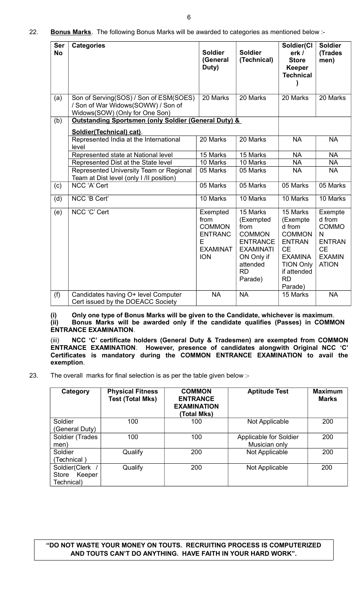| <b>Ser</b><br><b>No</b> | <b>Categories</b>                                                                                              | <b>Soldier</b><br>(General<br>Duty)                                                       | <b>Soldier</b><br>(Technical)                                                                                                           | Soldier(Cl<br>erk /<br><b>Store</b><br><b>Keeper</b><br><b>Technical</b>                                                                                   | <b>Soldier</b><br>(Trades<br>men)                                                                     |
|-------------------------|----------------------------------------------------------------------------------------------------------------|-------------------------------------------------------------------------------------------|-----------------------------------------------------------------------------------------------------------------------------------------|------------------------------------------------------------------------------------------------------------------------------------------------------------|-------------------------------------------------------------------------------------------------------|
| (a)                     | Son of Serving(SOS) / Son of ESM(SOES)<br>/ Son of War Widows(SOWW) / Son of<br>Widows(SOW) (Only for One Son) | 20 Marks                                                                                  | 20 Marks                                                                                                                                | 20 Marks                                                                                                                                                   | 20 Marks                                                                                              |
| (b)                     | Outstanding Sportsmen (only Soldier (General Duty) &                                                           |                                                                                           |                                                                                                                                         |                                                                                                                                                            |                                                                                                       |
|                         | Soldier(Technical) cat).                                                                                       |                                                                                           |                                                                                                                                         |                                                                                                                                                            |                                                                                                       |
|                         | Represented India at the International<br>level                                                                | 20 Marks                                                                                  | 20 Marks                                                                                                                                | <b>NA</b>                                                                                                                                                  | <b>NA</b>                                                                                             |
|                         | Represented state at National level                                                                            | 15 Marks                                                                                  | 15 Marks                                                                                                                                | <b>NA</b>                                                                                                                                                  | <b>NA</b>                                                                                             |
|                         | Represented Dist at the State level                                                                            | 10 Marks                                                                                  | 10 Marks                                                                                                                                | <b>NA</b>                                                                                                                                                  | <b>NA</b>                                                                                             |
|                         | Represented University Team or Regional<br>Team at Dist level (only I /II position)                            | 05 Marks                                                                                  | 05 Marks                                                                                                                                | <b>NA</b>                                                                                                                                                  | <b>NA</b>                                                                                             |
| (c)                     | NCC 'A' Cert                                                                                                   | 05 Marks                                                                                  | 05 Marks                                                                                                                                | 05 Marks                                                                                                                                                   | 05 Marks                                                                                              |
| (d)                     | NCC 'B Cert'                                                                                                   | 10 Marks                                                                                  | 10 Marks                                                                                                                                | 10 Marks                                                                                                                                                   | 10 Marks                                                                                              |
| (e)                     | NCC 'C' Cert                                                                                                   | Exempted<br>from<br><b>COMMON</b><br><b>ENTRANC</b><br>E<br><b>EXAMINAT</b><br><b>ION</b> | 15 Marks<br>(Exempted<br>from<br><b>COMMON</b><br><b>ENTRANCE</b><br><b>EXAMINATI</b><br>ON Only if<br>attended<br><b>RD</b><br>Parade) | 15 Marks<br>(Exempte<br>d from<br><b>COMMON</b><br><b>ENTRAN</b><br><b>CE</b><br><b>EXAMINA</b><br><b>TION Only</b><br>if attended<br><b>RD</b><br>Parade) | Exempte<br>d from<br><b>COMMO</b><br>N<br><b>ENTRAN</b><br><b>CE</b><br><b>EXAMIN</b><br><b>ATION</b> |
| (f)                     | Candidates having O+ level Computer<br>Cert issued by the DOEACC Society                                       | <b>NA</b>                                                                                 | <b>NA</b>                                                                                                                               | 15 Marks                                                                                                                                                   | <b>NA</b>                                                                                             |

**(i) Only one type of Bonus Marks will be given to the Candidate, whichever is maximum**. **(ii) Bonus Marks will be awarded only if the candidate qualifies (Passes) in COMMON ENTRANCE EXAMINATION**.

(iii) **NCC 'C' certificate holders (General Duty & Tradesmen) are exempted from COMMON ENTRANCE EXAMINATION**. **However, presence of candidates alongwith Original NCC 'C' Certificates is mandatory during the COMMON ENTRANCE EXAMINATION to avail the exemption**.

23. The overall marks for final selection is as per the table given below :-

| Category        | <b>Physical Fitness</b><br><b>Test (Total Mks)</b> | <b>COMMON</b><br><b>ENTRANCE</b><br><b>EXAMINATION</b><br>(Total Mks) | <b>Aptitude Test</b>   | <b>Maximum</b><br><b>Marks</b> |
|-----------------|----------------------------------------------------|-----------------------------------------------------------------------|------------------------|--------------------------------|
| Soldier         | 100                                                | 100                                                                   | Not Applicable         | 200                            |
| (General Duty)  |                                                    |                                                                       |                        |                                |
| Soldier (Trades | 100                                                | 100                                                                   | Applicable for Soldier | 200                            |
| men)            |                                                    |                                                                       | Musician only          |                                |
| Soldier         | Qualify                                            | 200                                                                   | Not Applicable         | 200                            |
| (Technical)     |                                                    |                                                                       |                        |                                |
| Soldier(Clerk   | Qualify                                            | 200                                                                   | Not Applicable         | 200                            |
| Store<br>Keeper |                                                    |                                                                       |                        |                                |
| Technical)      |                                                    |                                                                       |                        |                                |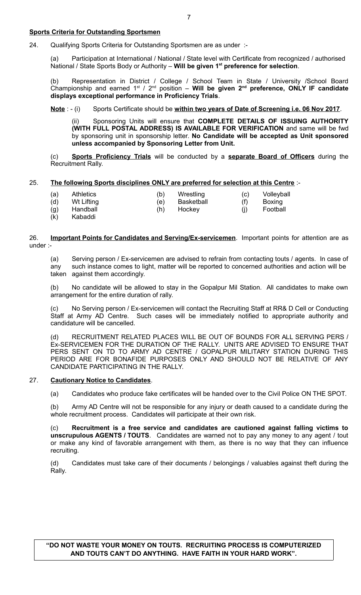### **Sports Criteria for Outstanding Sportsmen**

24. Qualifying Sports Criteria for Outstanding Sportsmen are as under :-

(a) Participation at International / National / State level with Certificate from recognized / authorised National / State Sports Body or Authority – **Will be given 1st preference for selection**.

(b) Representation in District / College / School Team in State / University /School Board Championship and earned 1st / 2nd position – **Will be given 2nd preference, ONLY IF candidate displays exceptional performance in Proficiency Trials**.

**Note** : - (i) Sports Certificate should be **within two years of Date of Screening i.e. 06 Nov 2017**.

(ii) Sponsoring Units will ensure that **COMPLETE DETAILS OF ISSUING AUTHORITY (WITH FULL POSTAL ADDRESS) IS AVAILABLE FOR VERIFICATION** and same will be fwd by sponsoring unit in sponsorship letter. **No Candidate will be accepted as Unit sponsored unless accompanied by Sponsoring Letter from Unit.** 

(c) **Sports Proficiency Trials** will be conducted by a **separate Board of Officers** during the Recruitment Rally.

## 25. **The following Sports disciplines ONLY are preferred for selection at this Centre** :-

| (a)<br>(d) | <b>Athletics</b><br>Wt Lifting | (b)<br>(e) | Wrestling<br>Basketball | (C)<br>(f) | Volleyball<br>Boxing |  |
|------------|--------------------------------|------------|-------------------------|------------|----------------------|--|
| (g)        | Handball                       | (h)        | Hockey                  | (İ)        | Football             |  |
| (k)        | Kabaddi                        |            |                         |            |                      |  |

26. **Important Points for Candidates and Serving/Ex-servicemen**. Important points for attention are as under :-

(a) Serving person / Ex-servicemen are advised to refrain from contacting touts / agents. In case of any such instance comes to light, matter will be reported to concerned authorities and action will be taken against them accordingly.

(b) No candidate will be allowed to stay in the Gopalpur Mil Station. All candidates to make own arrangement for the entire duration of rally.

(c) No Serving person / Ex-servicemen will contact the Recruiting Staff at RR& D Cell or Conducting Staff at Army AD Centre. Such cases will be immediately notified to appropriate authority and candidature will be cancelled.

(d) RECRUITMENT RELATED PLACES WILL BE OUT OF BOUNDS FOR ALL SERVING PERS / Ex-SERVICEMEN FOR THE DURATION OF THE RALLY. UNITS ARE ADVISED TO ENSURE THAT PERS SENT ON TD TO ARMY AD CENTRE / GOPALPUR MILITARY STATION DURING THIS PERIOD ARE FOR BONAFIDE PURPOSES ONLY AND SHOULD NOT BE RELATIVE OF ANY CANDIDATE PARTICIPATING IN THE RALLY.

## 27. **Cautionary Notice to Candidates**.

(a) Candidates who produce fake certificates will be handed over to the Civil Police ON THE SPOT.

(b) Army AD Centre will not be responsible for any injury or death caused to a candidate during the whole recruitment process. Candidates will participate at their own risk.

(c) **Recruitment is a free service and candidates are cautioned against falling victims to unscrupulous AGENTS / TOUTS**. Candidates are warned not to pay any money to any agent / tout or make any kind of favorable arrangement with them, as there is no way that they can influence recruiting.

(d) Candidates must take care of their documents / belongings / valuables against theft during the Rally.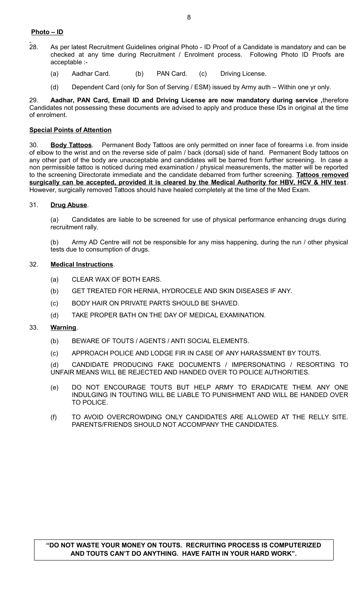# **Photo – ID**

- 28. As per latest Recruitment Guidelines original Photo ID Proof of a Candidate is mandatory and can be checked at any time during Recruitment / Enrolment process. Following Photo ID Proofs are acceptable :-
	- (a) Aadhar Card. (b) PAN Card. (c) Driving License.
	- (d) Dependent Card (only for Son of Serving / ESM) issued by Army auth Within one yr only.

29. **Aadhar, PAN Card, Email ID and Driving License are now mandatory during service ,**therefore Candidates not possessing these documents are advised to apply and produce these IDs in original at the time of enrolment.

## **Special Points of Attention**

30. **Body Tattoos**. Permanent Body Tattoos are only permitted on inner face of forearms i.e. from inside of elbow to the wrist and on the reverse side of palm / back (dorsal) side of hand. Permanent Body tattoos on any other part of the body are unacceptable and candidates will be barred from further screening. In case a non permissible tattoo is noticed during med examination / physical measurements, the matter will be reported to the screening Directorate immediate and the candidate debarred from further screening. **Tattoos removed surgically can be accepted, provided it is cleared by the Medical Authority for HBV, HCV & HIV test**. However, surgically removed Tattoos should have healed completely at the time of the Med Exam.

## 31. **Drug Abuse**.

(a) Candidates are liable to be screened for use of physical performance enhancing drugs during recruitment rally.

(b) Army AD Centre will not be responsible for any miss happening, during the run / other physical tests due to consumption of drugs.

### 32. **Medical Instructions**.

- (a) CLEAR WAX OF BOTH EARS.
- (b) GET TREATED FOR HERNIA, HYDROCELE AND SKIN DISEASES IF ANY.
- (c) BODY HAIR ON PRIVATE PARTS SHOULD BE SHAVED.
- (d) TAKE PROPER BATH ON THE DAY OF MEDICAL EXAMINATION.

#### 33. **Warning**.

- (b) BEWARE OF TOUTS / AGENTS / ANTI SOCIAL ELEMENTS.
- (c) APPROACH POLICE AND LODGE FIR IN CASE OF ANY HARASSMENT BY TOUTS.

(d) CANDIDATE PRODUCING FAKE DOCUMENTS / IMPERSONATING / RESORTING TO UNFAIR MEANS WILL BE REJECTED AND HANDED OVER TO POLICE AUTHORITIES.

- (e) DO NOT ENCOURAGE TOUTS BUT HELP ARMY TO ERADICATE THEM. ANY ONE INDULGING IN TOUTING WILL BE LIABLE TO PUNISHMENT AND WILL BE HANDED OVER TO POLICE.
- (f) TO AVOID OVERCROWDING ONLY CANDIDATES ARE ALLOWED AT THE RELLY SITE. PARENTS/FRIENDS SHOULD NOT ACCOMPANY THE CANDIDATES.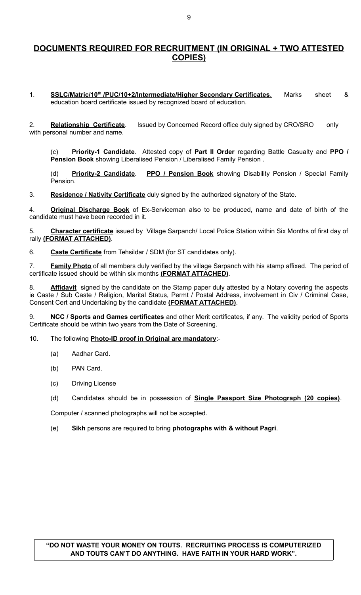# **DOCUMENTS REQUIRED FOR RECRUITMENT (IN ORIGINAL + TWO ATTESTED COPIES)**

1. **SSLC/Matric/10<sup>th</sup>/PUC/10+2/Intermediate/Higher Secondary Certificates.** Marks sheet & education board certificate issued by recognized board of education.

2. **Relationship Certificate**. Issued by Concerned Record office duly signed by CRO/SRO only with personal number and name.

(c) **Priority-1 Candidate**. Attested copy of **Part II Order** regarding Battle Casualty and **PPO / Pension Book** showing Liberalised Pension / Liberalised Family Pension .

(d) **Priority-2 Candidate**. **PPO / Pension Book** showing Disability Pension / Special Family Pension.

3. **Residence / Nativity Certificate** duly signed by the authorized signatory of the State.

4. **Original Discharge Book** of Ex-Serviceman also to be produced, name and date of birth of the candidate must have been recorded in it.

5. **Character certificate** issued by Village Sarpanch/ Local Police Station within Six Months of first day of rally **(FORMAT ATTACHED)**.

6. **Caste Certificate** from Tehsildar / SDM (for ST candidates only).

7. **Family Photo** of all members duly verified by the village Sarpanch with his stamp affixed. The period of certificate issued should be within six months **(FORMAT ATTACHED)**.

8. **Affidavit** signed by the candidate on the Stamp paper duly attested by a Notary covering the aspects ie Caste / Sub Caste / Religion, Marital Status, Permt / Postal Address, involvement in Civ / Criminal Case, Consent Cert and Undertaking by the candidate **(FORMAT ATTACHED)**.

9. **NCC / Sports and Games certificates** and other Merit certificates, if any. The validity period of Sports Certificate should be within two years from the Date of Screening.

10. The following **Photo-ID proof in Original are mandatory**:-

- (a) Aadhar Card.
- (b) PAN Card.
- (c) Driving License
- (d) Candidates should be in possession of **Single Passport Size Photograph (20 copies)**.

Computer / scanned photographs will not be accepted.

(e) **Sikh** persons are required to bring **photographs with & without Pagri**.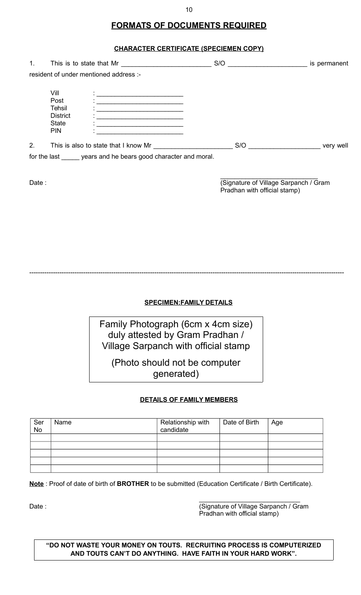# **FORMATS OF DOCUMENTS REQUIRED**

# **CHARACTER CERTIFICATE (SPECIEMEN COPY)**

| 1 <sub>1</sub> | This is to state that Mr                                                |                                                                                                                                                                                                                                                                                               | S/O | is permanent |
|----------------|-------------------------------------------------------------------------|-----------------------------------------------------------------------------------------------------------------------------------------------------------------------------------------------------------------------------------------------------------------------------------------------|-----|--------------|
|                |                                                                         | resident of under mentioned address :-                                                                                                                                                                                                                                                        |     |              |
|                | Vill<br>Post<br>Tehsil<br><b>District</b><br><b>State</b><br><b>PIN</b> | <u> 1980 - Johann John Stone, markin fizikar (h. 1980).</u><br><u> 1980 - Johann Barbara, martin din bashkar (</u><br>the control of the control of the control of the control of the control of the control of<br>the control of the control of the control of the control of the control of |     |              |
| 2.             |                                                                         | This is also to state that I know Mr                                                                                                                                                                                                                                                          | S/O | very well    |
|                |                                                                         | for the last years and he bears good character and moral.                                                                                                                                                                                                                                     |     |              |

\_\_\_\_\_\_\_\_\_\_\_\_\_\_\_\_\_\_\_\_\_\_\_\_\_\_\_ Date : Charles Contract Contract Contract Contract Contract Contract Contract Contract Contract Contract Contract Contract Contract Contract Contract Contract Contract Contract Contract Contract Contract Contract Contract Pradhan with official stamp)

**SPECIMEN:FAMILY DETAILS**

--------------------------------------------------------------------------------------------------------------------------------------------------

Family Photograph (6cm x 4cm size) duly attested by Gram Pradhan / Village Sarpanch with official stamp

(Photo should not be computer generated)

# **DETAILS OF FAMILY MEMBERS**

| Ser<br>No | Name | Relationship with<br>candidate | Date of Birth | Age |
|-----------|------|--------------------------------|---------------|-----|
|           |      |                                |               |     |
|           |      |                                |               |     |
|           |      |                                |               |     |
|           |      |                                |               |     |
|           |      |                                |               |     |

**Note** : Proof of date of birth of **BROTHER** to be submitted (Education Certificate / Birth Certificate).

\_\_\_\_\_\_\_\_\_\_\_\_\_\_\_\_\_\_\_\_\_\_\_\_\_\_\_\_ Date : Case : Contract of Village Sarpanch / Gram Pradhan with official stamp)

**"DO NOT WASTE YOUR MONEY ON TOUTS. RECRUITING PROCESS IS COMPUTERIZED AND TOUTS CAN'T DO ANYTHING. HAVE FAITH IN YOUR HARD WORK".**

10